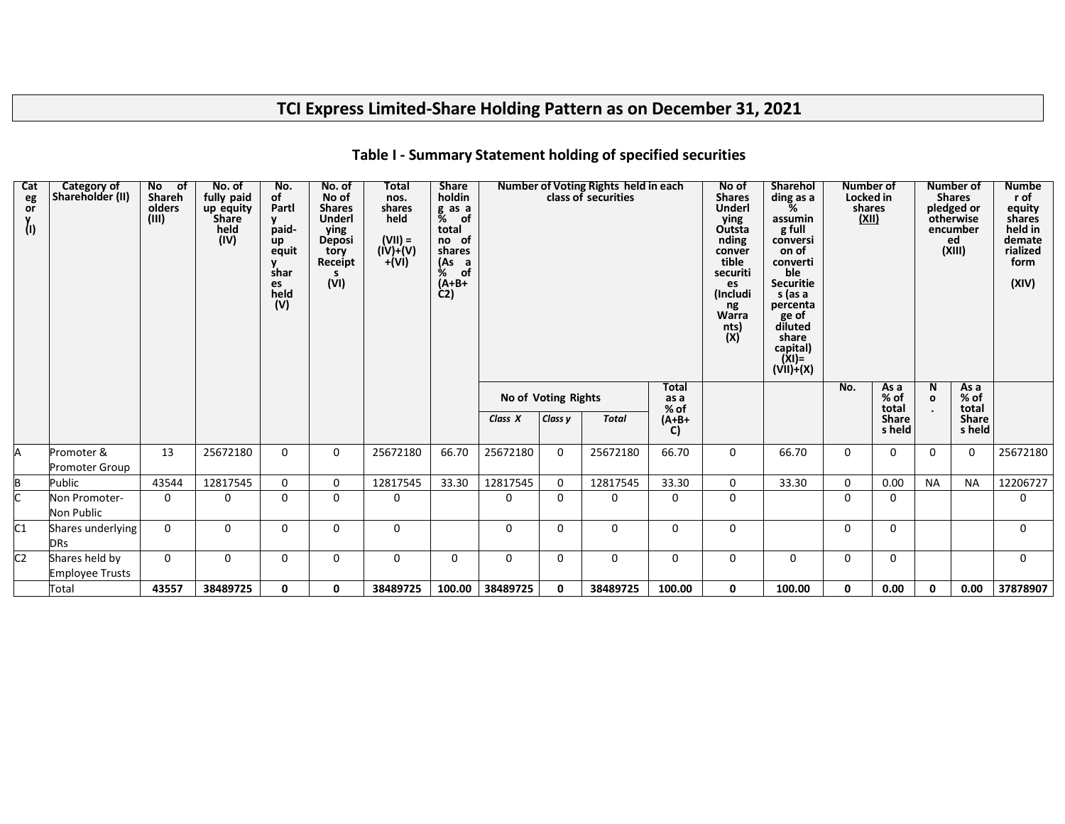# **TCI Express Limited-Share Holding Pattern as on December 31, 2021**

| Cat<br>eg<br>or<br>(1) | Category of<br>Shareholder (II)          | No of<br>Shareh<br>olders<br>(III) | No. of<br>fully paid<br>up equity<br><b>Share</b><br>held<br>$\overline{(\overline{IV})}$ | No.<br>of<br>Partl<br>V.<br>paid-<br>up<br>equit<br>shar<br>es<br>held<br>(V) | No. of<br>No of<br><b>Shares</b><br>Underl<br>ying<br>Deposi<br>tory<br>Receipt<br>s.<br>(VI) | Total<br>nos.<br>shares<br>held<br>$(VII) =$<br>$(iV)+(V)$<br>$+(Vi)$ | <b>Share</b><br>holdin<br>g as a<br>% of<br>total<br>no of<br>shares<br>(As a<br>% of<br>$(A+B+$<br>$\dot{C}$ |             |                     | Number of Voting Rights held in each<br>class of securities |                              | No of<br><b>Shares</b><br><b>Underl</b><br>ying<br>Outsta<br>nding<br>conver<br>tible<br>securiti<br>es<br>(Includi<br>ng<br>Warra<br>nts)<br>(X) | <b>Sharehol</b><br>ding as a<br>%<br>assumin<br>g full<br>conversi<br>on of<br>converti<br>ble<br><b>Securitie</b><br>s (as a<br>percenta<br>ge of<br>diluted<br>share<br>capital)<br>(XI)=<br>(VII)+(X) | <b>Number of</b><br>Locked in<br>shares<br>(XII) |                         |                   | <b>Number of</b><br><b>Shares</b><br>pledged or<br>otherwise<br>encumber<br>ed<br>(XIII) | <b>Numbe</b><br>r of<br>equity<br>shares<br>held in<br>demate<br>rialized<br>form<br>(XIV) |
|------------------------|------------------------------------------|------------------------------------|-------------------------------------------------------------------------------------------|-------------------------------------------------------------------------------|-----------------------------------------------------------------------------------------------|-----------------------------------------------------------------------|---------------------------------------------------------------------------------------------------------------|-------------|---------------------|-------------------------------------------------------------|------------------------------|---------------------------------------------------------------------------------------------------------------------------------------------------|----------------------------------------------------------------------------------------------------------------------------------------------------------------------------------------------------------|--------------------------------------------------|-------------------------|-------------------|------------------------------------------------------------------------------------------|--------------------------------------------------------------------------------------------|
|                        |                                          |                                    |                                                                                           |                                                                               |                                                                                               |                                                                       |                                                                                                               |             | No of Voting Rights |                                                             | <b>Total</b><br>as a<br>% of |                                                                                                                                                   |                                                                                                                                                                                                          | No.                                              | As a<br>$%$ of<br>total | N<br>$\mathbf{o}$ | As a<br>$%$ of<br>total                                                                  |                                                                                            |
|                        |                                          |                                    |                                                                                           |                                                                               |                                                                                               |                                                                       |                                                                                                               | Class X     | Class y             | <b>Total</b>                                                | $(A+B+$<br>C)                |                                                                                                                                                   |                                                                                                                                                                                                          |                                                  | <b>Share</b><br>s held  |                   | <b>Share</b><br>s held                                                                   |                                                                                            |
|                        | Promoter &<br><b>Promoter Group</b>      | 13                                 | 25672180                                                                                  | $\Omega$                                                                      | 0                                                                                             | 25672180                                                              | 66.70                                                                                                         | 25672180    | $\mathbf{0}$        | 25672180                                                    | 66.70                        | 0                                                                                                                                                 | 66.70                                                                                                                                                                                                    | 0                                                | 0                       | 0                 | 0                                                                                        | 25672180                                                                                   |
|                        | Public                                   | 43544                              | 12817545                                                                                  | 0                                                                             | 0                                                                                             | 12817545                                                              | 33.30                                                                                                         | 12817545    | 0                   | 12817545                                                    | 33.30                        | 0                                                                                                                                                 | 33.30                                                                                                                                                                                                    | 0                                                | 0.00                    | <b>NA</b>         | <b>NA</b>                                                                                | 12206727                                                                                   |
|                        | Non Promoter-<br>Non Public              | 0                                  | $\Omega$                                                                                  | $\mathbf{0}$                                                                  | $\Omega$                                                                                      | 0                                                                     |                                                                                                               | 0           | 0                   | $\Omega$                                                    | 0                            | 0                                                                                                                                                 |                                                                                                                                                                                                          | 0                                                | 0                       |                   |                                                                                          | 0                                                                                          |
| C1                     | Shares underlying<br><b>DRs</b>          | $\Omega$                           | $\Omega$                                                                                  | 0                                                                             | $\Omega$                                                                                      | 0                                                                     |                                                                                                               | $\mathbf 0$ | $\Omega$            | 0                                                           | 0                            | 0                                                                                                                                                 |                                                                                                                                                                                                          | 0                                                | 0                       |                   |                                                                                          | $\Omega$                                                                                   |
| C <sub>2</sub>         | Shares held by<br><b>Employee Trusts</b> | $\mathbf 0$                        | 0                                                                                         | 0                                                                             | 0                                                                                             | 0                                                                     | $\mathbf 0$                                                                                                   | $\mathbf 0$ | 0                   | 0                                                           | 0                            | 0                                                                                                                                                 | $\mathbf 0$                                                                                                                                                                                              | 0                                                | 0                       |                   |                                                                                          | $\Omega$                                                                                   |
|                        | Total                                    | 43557                              | 38489725                                                                                  | 0                                                                             | 0                                                                                             | 38489725                                                              | 100.00                                                                                                        | 38489725    | 0                   | 38489725                                                    | 100.00                       | 0                                                                                                                                                 | 100.00                                                                                                                                                                                                   | 0                                                | 0.00                    | 0                 | 0.00                                                                                     | 37878907                                                                                   |

### **Table I - Summary Statement holding of specified securities**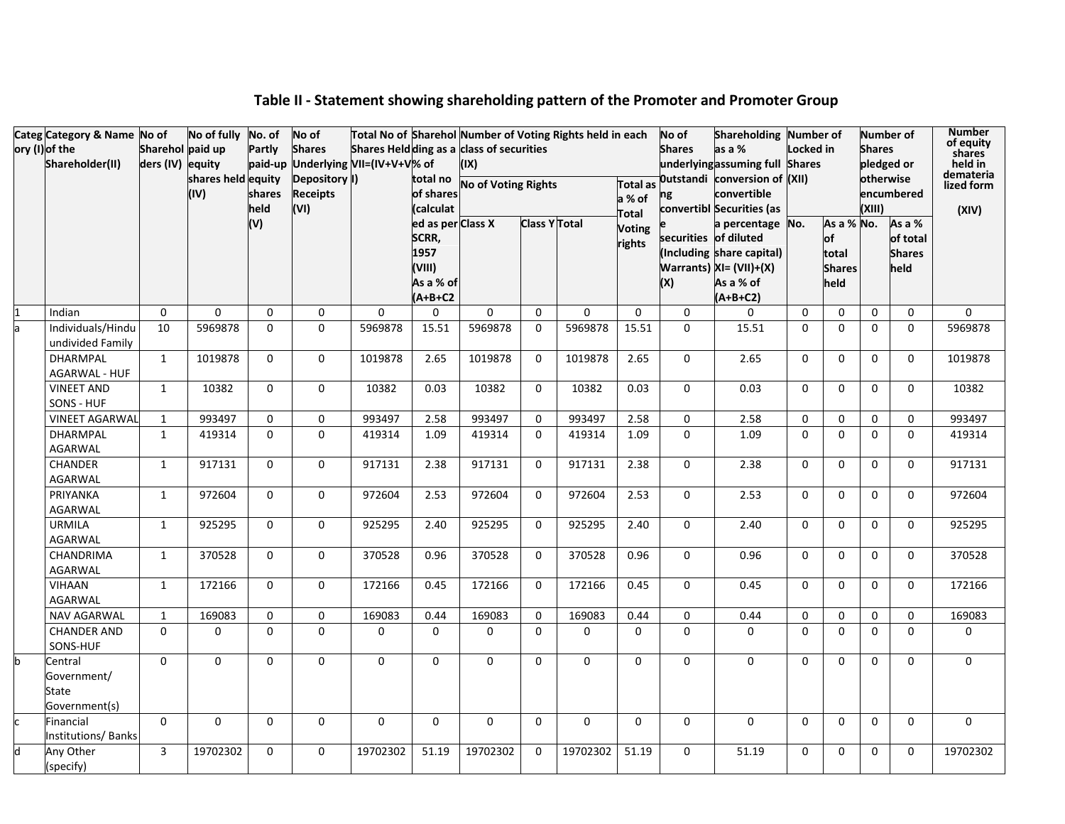|  | Categ Category & Name No of                      |                                      | No of fully No. of |              | No of           | Total No of Sharehol Number of Voting Rights held in each                      |                   |                     |                      |             |                 | No of         | Shareholding Number of                             |              |                        |               | <b>Number of</b>          | <b>Number</b><br>of equity |
|--|--------------------------------------------------|--------------------------------------|--------------------|--------------|-----------------|--------------------------------------------------------------------------------|-------------------|---------------------|----------------------|-------------|-----------------|---------------|----------------------------------------------------|--------------|------------------------|---------------|---------------------------|----------------------------|
|  | ory (I) of the<br>Shareholder(II)                | Sharehol paid up<br>ders (IV) equity |                    | Partly       | <b>Shares</b>   | Shares Heldding as a class of securities<br>paid-up Underlying VII=(IV+V+V% of |                   | (IX)                |                      |             |                 | <b>Shares</b> | as a %<br>underlyingassuming full Shares           | Locked in    |                        | <b>Shares</b> | pledged or                | shares<br>held in          |
|  |                                                  |                                      | shares held equity |              | Depository I)   |                                                                                | total no          | No of Voting Rights |                      |             | <b>Total</b> as |               | Outstandi conversion of (XII)                      |              |                        | otherwise     |                           | demateria                  |
|  |                                                  |                                      | (IV)               | shares       | <b>Receipts</b> |                                                                                | of shares         |                     |                      |             | a % of          | ng            | convertible                                        |              |                        |               | encumbered                | lized form                 |
|  |                                                  |                                      |                    | held         | (VI)            |                                                                                | (calculat         |                     |                      |             | Total           |               | convertibl Securities (as                          |              |                        | (XIII)        |                           | (XIV)                      |
|  |                                                  |                                      |                    | (V)          |                 |                                                                                | ed as per Class X |                     | <b>Class Y Total</b> |             | <b>Voting</b>   |               | a percentage No.                                   |              | As a % No.             |               | As a %                    |                            |
|  |                                                  |                                      |                    |              |                 |                                                                                | SCRR,<br>1957     |                     |                      |             | rights          |               | securities of diluted<br>(Including share capital) |              | $\mathsf{of}$<br>total |               | of total<br><b>Shares</b> |                            |
|  |                                                  |                                      |                    |              |                 |                                                                                | (VIII)            |                     |                      |             |                 |               | Warrants) $XI = (VII)+(X)$                         |              | <b>Shares</b>          |               | held                      |                            |
|  |                                                  |                                      |                    |              |                 |                                                                                | As a % of         |                     |                      |             |                 | (X)           | As a % of                                          |              | held                   |               |                           |                            |
|  |                                                  |                                      |                    |              |                 |                                                                                | $(A+B+C2$         |                     |                      |             |                 |               | $(A+B+C2)$                                         |              |                        |               |                           |                            |
|  | Indian                                           | $\Omega$                             | $\Omega$           | $\Omega$     | $\Omega$        | $\Omega$                                                                       | $\mathbf 0$       | $\Omega$            | $\Omega$             | $\Omega$    | $\Omega$        | $\Omega$      | $\Omega$                                           | $\mathbf{0}$ | $\Omega$               | 0             | $\Omega$                  | 0                          |
|  | Individuals/Hindu<br>undivided Family            | 10                                   | 5969878            | $\Omega$     | $\Omega$        | 5969878                                                                        | 15.51             | 5969878             | $\Omega$             | 5969878     | 15.51           | $\Omega$      | 15.51                                              | $\mathbf{0}$ | $\Omega$               | $\Omega$      | $\Omega$                  | 5969878                    |
|  | <b>DHARMPAL</b><br><b>AGARWAL - HUF</b>          | $\mathbf{1}$                         | 1019878            | $\Omega$     | $\mathbf{0}$    | 1019878                                                                        | 2.65              | 1019878             | $\Omega$             | 1019878     | 2.65            | $\Omega$      | 2.65                                               | $\mathbf{0}$ | $\Omega$               | $\Omega$      | $\Omega$                  | 1019878                    |
|  | <b>VINEET AND</b><br>SONS - HUF                  | $\mathbf{1}$                         | 10382              | $\mathbf 0$  | $\Omega$        | 10382                                                                          | 0.03              | 10382               | $\Omega$             | 10382       | 0.03            | $\Omega$      | 0.03                                               | $\Omega$     | $\Omega$               | 0             | $\Omega$                  | 10382                      |
|  | <b>VINEET AGARWAL</b>                            | $\mathbf{1}$                         | 993497             | $\mathbf{0}$ | $\Omega$        | 993497                                                                         | 2.58              | 993497              | $\Omega$             | 993497      | 2.58            | $\Omega$      | 2.58                                               | $\mathbf{0}$ | $\Omega$               | $\Omega$      | $\Omega$                  | 993497                     |
|  | DHARMPAL                                         | $\mathbf{1}$                         | 419314             | $\Omega$     | $\Omega$        | 419314                                                                         | 1.09              | 419314              | $\Omega$             | 419314      | 1.09            | $\Omega$      | 1.09                                               | $\Omega$     | $\Omega$               | $\Omega$      | $\Omega$                  | 419314                     |
|  | AGARWAL                                          |                                      |                    |              |                 |                                                                                |                   |                     |                      |             |                 |               |                                                    |              |                        |               |                           |                            |
|  | CHANDER<br>AGARWAL                               | $\mathbf{1}$                         | 917131             | $\mathbf 0$  | $\mathbf 0$     | 917131                                                                         | 2.38              | 917131              | $\mathbf 0$          | 917131      | 2.38            | $\mathbf 0$   | 2.38                                               | $\mathbf 0$  | $\Omega$               | $\mathbf 0$   | $\mathbf 0$               | 917131                     |
|  | PRIYANKA<br>AGARWAL                              | $\mathbf{1}$                         | 972604             | $\mathbf 0$  | $\mathbf 0$     | 972604                                                                         | 2.53              | 972604              | $\mathbf 0$          | 972604      | 2.53            | $\mathbf 0$   | 2.53                                               | $\mathbf 0$  | $\mathbf 0$            | $\mathbf 0$   | $\mathbf 0$               | 972604                     |
|  | URMILA<br>AGARWAL                                | $\mathbf{1}$                         | 925295             | $\mathbf 0$  | $\mathbf 0$     | 925295                                                                         | 2.40              | 925295              | 0                    | 925295      | 2.40            | $\mathbf 0$   | 2.40                                               | $\mathbf 0$  | $\mathbf 0$            | $\mathbf 0$   | $\mathbf 0$               | 925295                     |
|  | CHANDRIMA<br><b>AGARWAL</b>                      | $\mathbf{1}$                         | 370528             | $\Omega$     | $\mathbf 0$     | 370528                                                                         | 0.96              | 370528              | $\mathbf 0$          | 370528      | 0.96            | $\Omega$      | 0.96                                               | $\mathbf 0$  | $\mathbf 0$            | 0             | $\mathbf 0$               | 370528                     |
|  | VIHAAN<br>AGARWAL                                | $\mathbf{1}$                         | 172166             | $\mathbf{0}$ | $\mathbf{0}$    | 172166                                                                         | 0.45              | 172166              | $\mathbf 0$          | 172166      | 0.45            | $\Omega$      | 0.45                                               | $\mathbf{0}$ | $\Omega$               | $\Omega$      | $\Omega$                  | 172166                     |
|  | <b>NAV AGARWAL</b>                               | $\mathbf{1}$                         | 169083             | $\mathbf 0$  | $\mathbf 0$     | 169083                                                                         | 0.44              | 169083              | $\mathbf 0$          | 169083      | 0.44            | 0             | 0.44                                               | $\mathbf 0$  | 0                      | 0             | $\mathbf 0$               | 169083                     |
|  | <b>CHANDER AND</b><br>SONS-HUF                   | $\Omega$                             | $\Omega$           | $\Omega$     | $\mathbf 0$     | 0                                                                              | $\mathbf 0$       | 0                   | $\Omega$             | $\mathbf 0$ | $\Omega$        | $\Omega$      | $\Omega$                                           | $\Omega$     | $\Omega$               | $\Omega$      | $\Omega$                  | 0                          |
|  | Central<br>Government/<br>State<br>Government(s) | $\mathbf 0$                          | 0                  | $\Omega$     | $\Omega$        | 0                                                                              | $\mathbf 0$       | 0                   | $\Omega$             | $\mathbf 0$ | $\Omega$        | $\Omega$      | $\mathbf 0$                                        | $\Omega$     | $\Omega$               | $\Omega$      | $\Omega$                  | 0                          |
|  | Financial<br><b>Institutions/Banks</b>           | $\Omega$                             | 0                  | $\Omega$     | $\Omega$        | 0                                                                              | $\mathbf 0$       | $\mathbf 0$         | 0                    | $\mathbf 0$ | $\Omega$        | $\Omega$      | $\Omega$                                           | $\mathbf{0}$ | $\Omega$               | 0             | $\mathbf 0$               | 0                          |
|  | Any Other<br>(specify)                           | 3                                    | 19702302           | $\mathbf 0$  | $\mathbf 0$     | 19702302                                                                       | 51.19             | 19702302            | $\Omega$             | 19702302    | 51.19           | $\Omega$      | 51.19                                              | 0            | $\Omega$               | 0             | $\Omega$                  | 19702302                   |

# **Table II - Statement showing shareholding pattern of the Promoter and Promoter Group**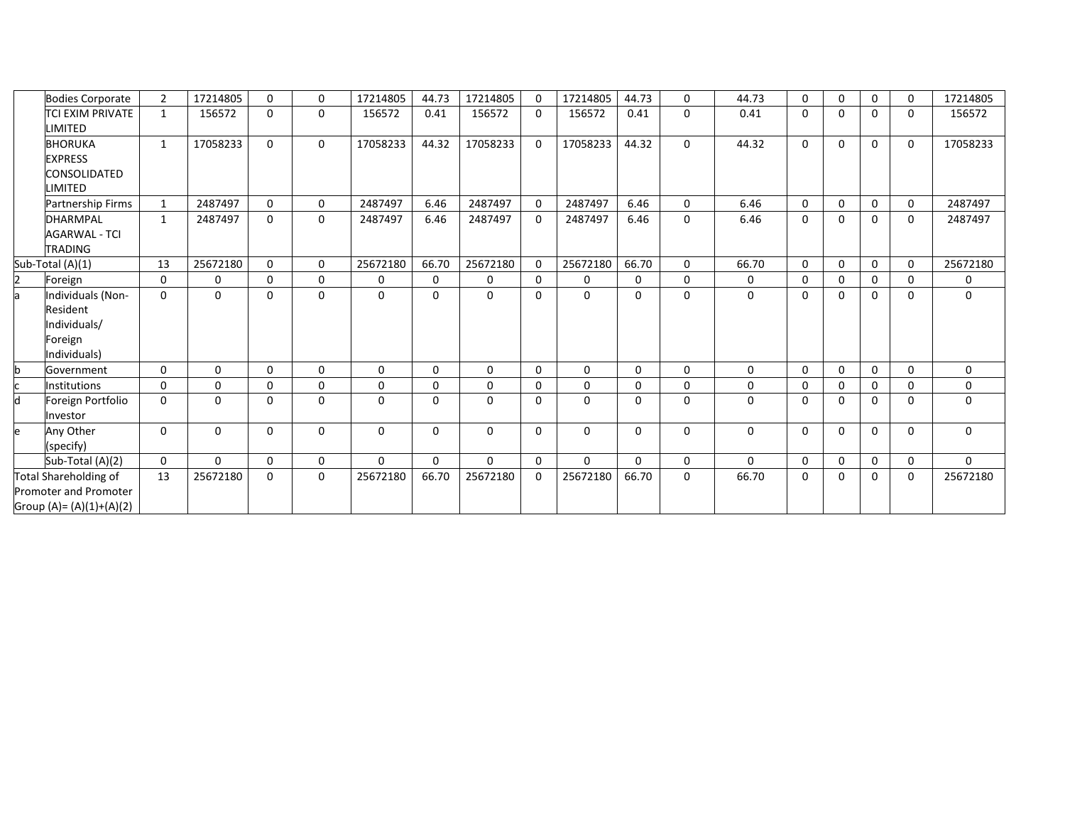|   | <b>Bodies Corporate</b>                                                      | $\overline{2}$ | 17214805 | $\mathbf{0}$ | $\Omega$ | 17214805 | 44.73    | 17214805 | $\Omega$ | 17214805 | 44.73    | $\Omega$     | 44.73       | $\Omega$ | $\mathbf{0}$ | $\Omega$     | $\Omega$ | 17214805    |
|---|------------------------------------------------------------------------------|----------------|----------|--------------|----------|----------|----------|----------|----------|----------|----------|--------------|-------------|----------|--------------|--------------|----------|-------------|
|   | <b>TCI EXIM PRIVATE</b><br>LIMITED                                           | $\mathbf{1}$   | 156572   | $\mathbf 0$  | 0        | 156572   | 0.41     | 156572   | $\Omega$ | 156572   | 0.41     | 0            | 0.41        | $\Omega$ | 0            | $\Omega$     | 0        | 156572      |
|   | <b>BHORUKA</b><br><b>EXPRESS</b><br>CONSOLIDATED<br>LIMITED                  | $\mathbf{1}$   | 17058233 | $\mathbf{0}$ | 0        | 17058233 | 44.32    | 17058233 | $\Omega$ | 17058233 | 44.32    | $\Omega$     | 44.32       | $\Omega$ | $\mathbf 0$  | $\Omega$     | $\Omega$ | 17058233    |
|   | <b>Partnership Firms</b>                                                     | $\mathbf{1}$   | 2487497  | $\mathbf{0}$ | 0        | 2487497  | 6.46     | 2487497  | $\Omega$ | 2487497  | 6.46     | $\mathbf{0}$ | 6.46        | $\Omega$ | $\mathbf 0$  | $\mathbf 0$  | 0        | 2487497     |
|   | <b>DHARMPAL</b><br><b>AGARWAL - TCI</b><br><b>TRADING</b>                    | $\mathbf{1}$   | 2487497  | $\Omega$     | $\Omega$ | 2487497  | 6.46     | 2487497  | $\Omega$ | 2487497  | 6.46     | $\mathbf{0}$ | 6.46        | $\Omega$ | $\Omega$     | $\Omega$     | $\Omega$ | 2487497     |
|   | Sub-Total (A)(1)                                                             | 13             | 25672180 | $\Omega$     | $\Omega$ | 25672180 | 66.70    | 25672180 | $\Omega$ | 25672180 | 66.70    | $\Omega$     | 66.70       | $\Omega$ | $\mathbf{0}$ | $\Omega$     | $\Omega$ | 25672180    |
|   | Foreign                                                                      | 0              | 0        | $\mathbf 0$  | 0        | 0        | 0        | 0        | $\Omega$ | 0        | 0        | $\mathbf{0}$ | 0           | $\Omega$ | $\mathbf 0$  | $\Omega$     | 0        | 0           |
|   | Individuals (Non-<br>Resident<br>Individuals/<br>Foreign<br>Individuals)     | $\mathbf{0}$   | 0        | $\mathbf 0$  | 0        | $\Omega$ | $\Omega$ | 0        | $\Omega$ | 0        | 0        | $\Omega$     | $\mathbf 0$ | $\Omega$ | 0            | $\Omega$     | 0        | $\mathbf 0$ |
|   | Government                                                                   | $\mathbf{0}$   | $\Omega$ | $\mathbf{0}$ | 0        | $\Omega$ | $\Omega$ | $\Omega$ | $\Omega$ | 0        | $\Omega$ | $\Omega$     | 0           | $\Omega$ | $\Omega$     | $\Omega$     | $\Omega$ | $\Omega$    |
|   | Institutions                                                                 | $\mathbf 0$    | 0        | $\mathbf 0$  | 0        | 0        | $\Omega$ | 0        | $\Omega$ | 0        | 0        | $\mathbf{0}$ | 0           | 0        | 0            | 0            | $\Omega$ | 0           |
| h | Foreign Portfolio<br>Investor                                                | $\Omega$       | $\Omega$ | $\mathbf{0}$ | 0        | 0        | $\Omega$ | $\Omega$ | $\Omega$ | $\Omega$ | $\Omega$ | $\Omega$     | $\Omega$    | $\Omega$ | 0            | $\Omega$     | $\Omega$ | $\mathbf 0$ |
|   | Any Other<br>(specify)                                                       | 0              | 0        | $\mathbf 0$  | 0        | $\Omega$ | 0        | 0        | $\Omega$ | 0        | 0        | 0            | 0           | $\Omega$ | 0            | $\mathbf{0}$ | 0        | $\mathbf 0$ |
|   | Sub-Total (A)(2)                                                             | 0              | $\Omega$ | $\mathbf{0}$ | 0        | $\Omega$ | $\Omega$ | $\Omega$ | $\Omega$ | $\Omega$ | $\Omega$ | $\mathbf{0}$ | $\Omega$    | $\Omega$ | $\mathbf 0$  | $\Omega$     | 0        | $\Omega$    |
|   | Total Shareholding of<br>Promoter and Promoter<br>Group (A)= $(A)(1)+(A)(2)$ | 13             | 25672180 | 0            | 0        | 25672180 | 66.70    | 25672180 | $\Omega$ | 25672180 | 66.70    | $\mathbf 0$  | 66.70       | 0        | 0            | $\Omega$     | 0        | 25672180    |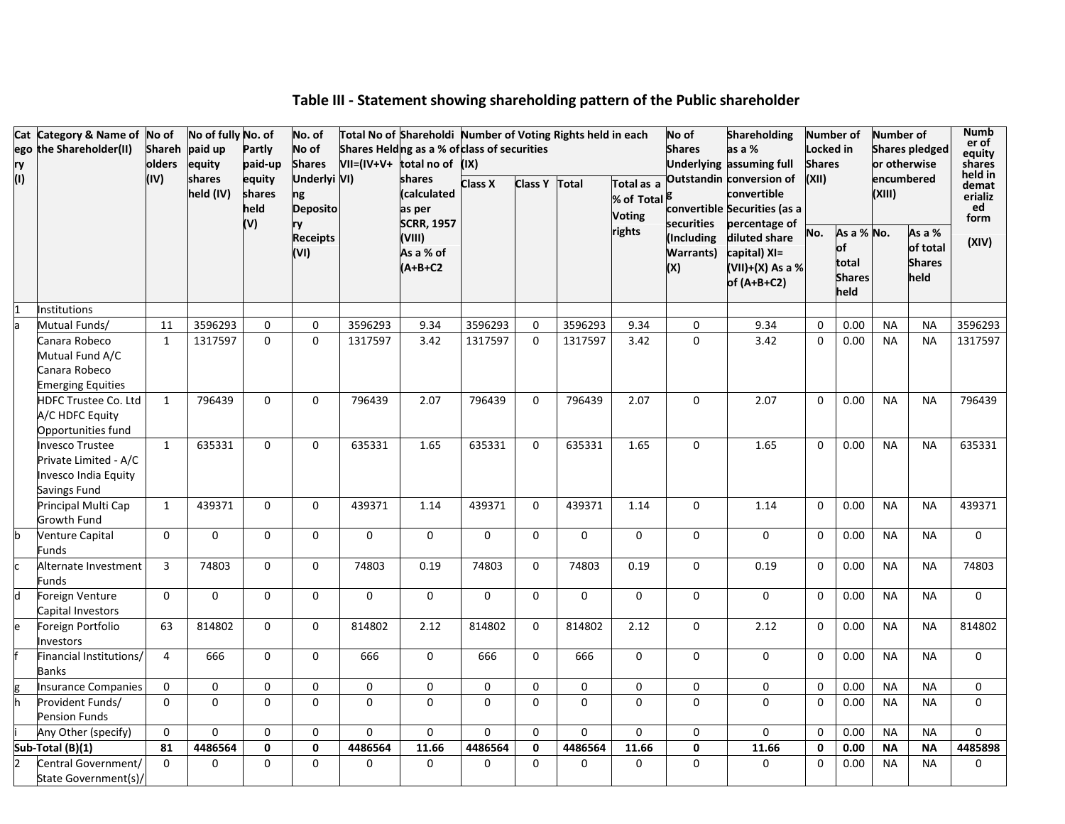|     | Cat Category & Name of No of<br>ego the Shareholder(II)                                 | <b>Shareh</b>  | No of fully No. of<br>paid up | Partly                          | No. of<br>No of                             |              | Total No of Shareholdi Number of Voting Rights held in each<br>Shares Helding as a % of class of securities |                |                |          |                                           | No of<br><b>Shares</b>                | <b>Shareholding</b><br>as a %                                                            | Locked in     | <b>Number of</b>                                   | Number of | <b>Shares pledged</b>                       | <b>Numb</b><br>er of<br>equity            |
|-----|-----------------------------------------------------------------------------------------|----------------|-------------------------------|---------------------------------|---------------------------------------------|--------------|-------------------------------------------------------------------------------------------------------------|----------------|----------------|----------|-------------------------------------------|---------------------------------------|------------------------------------------------------------------------------------------|---------------|----------------------------------------------------|-----------|---------------------------------------------|-------------------------------------------|
| ry  |                                                                                         | olders         | equity                        | paid-up                         | <b>Shares</b>                               | $VII=(IV+V+$ | total no of (IX)                                                                                            |                |                |          |                                           |                                       | Underlying assuming full                                                                 | <b>Shares</b> |                                                    |           | or otherwise                                | shares                                    |
| (1) |                                                                                         | (IV)           | shares<br>held (IV)           | equity<br>shares<br>held<br>(V) | Underlyi VI)<br>ng<br><b>Deposito</b><br>ry |              | shares<br>(calculated<br>as per<br><b>SCRR, 1957</b>                                                        | <b>Class X</b> | <b>Class Y</b> | Total    | Total as a<br>% of Total<br><b>Voting</b> | securities                            | Outstandin conversion of<br>convertible<br>convertible Securities (as a<br>percentage of | (XII)         |                                                    | (XIII)    | encumbered                                  | held in<br>demat<br>erializ<br>ed<br>form |
|     |                                                                                         |                |                               |                                 | <b>Receipts</b><br>(VI)                     |              | (VIII)<br>As a % of<br>$(A+B+C2$                                                                            |                |                |          | rights                                    | (Including<br><b>Warrants)</b><br>(X) | diluted share<br>capital) XI=<br>(VII)+(X) As a %<br>of $(A+B+C2)$                       | No.           | As a % No.<br>of<br>total<br><b>Shares</b><br>held |           | As a %<br>of total<br><b>Shares</b><br>held | (XIV)                                     |
|     | <b>Institutions</b>                                                                     |                |                               |                                 |                                             |              |                                                                                                             |                |                |          |                                           |                                       |                                                                                          |               |                                                    |           |                                             |                                           |
|     | Mutual Funds/                                                                           | 11             | 3596293                       | 0                               | $\mathbf 0$                                 | 3596293      | 9.34                                                                                                        | 3596293        | $\Omega$       | 3596293  | 9.34                                      | 0                                     | 9.34                                                                                     | $\mathbf 0$   | 0.00                                               | <b>NA</b> | <b>NA</b>                                   | 3596293                                   |
|     | Canara Robeco<br>Mutual Fund A/C<br>Canara Robeco<br><b>Emerging Equities</b>           | $\mathbf{1}$   | 1317597                       | $\Omega$                        | $\Omega$                                    | 1317597      | 3.42                                                                                                        | 1317597        | $\Omega$       | 1317597  | 3.42                                      | $\Omega$                              | 3.42                                                                                     | $\Omega$      | 0.00                                               | <b>NA</b> | <b>NA</b>                                   | 1317597                                   |
|     | HDFC Trustee Co. Ltd<br>A/C HDFC Equity<br>Opportunities fund                           | $\mathbf{1}$   | 796439                        | $\Omega$                        | $\Omega$                                    | 796439       | 2.07                                                                                                        | 796439         | $\Omega$       | 796439   | 2.07                                      | $\Omega$                              | 2.07                                                                                     | $\Omega$      | 0.00                                               | <b>NA</b> | <b>NA</b>                                   | 796439                                    |
|     | <b>Invesco Trustee</b><br>Private Limited - A/C<br>Invesco India Equity<br>Savings Fund | $\mathbf{1}$   | 635331                        | 0                               | 0                                           | 635331       | 1.65                                                                                                        | 635331         | 0              | 635331   | 1.65                                      | $\mathbf 0$                           | 1.65                                                                                     | $\Omega$      | 0.00                                               | <b>NA</b> | <b>NA</b>                                   | 635331                                    |
|     | Principal Multi Cap<br>Growth Fund                                                      | $\mathbf{1}$   | 439371                        | $\Omega$                        | $\Omega$                                    | 439371       | 1.14                                                                                                        | 439371         | $\Omega$       | 439371   | 1.14                                      | $\mathbf 0$                           | 1.14                                                                                     | $\Omega$      | 0.00                                               | <b>NA</b> | <b>NA</b>                                   | 439371                                    |
|     | <b>Venture Capital</b><br>Funds                                                         | $\Omega$       | $\mathbf 0$                   | 0                               | 0                                           | 0            | $\mathbf 0$                                                                                                 | $\mathbf{0}$   | 0              | 0        | 0                                         | $\mathbf 0$                           | 0                                                                                        | $\mathbf 0$   | 0.00                                               | <b>NA</b> | <b>NA</b>                                   | $\Omega$                                  |
|     | Alternate Investment<br>Funds                                                           | $\overline{3}$ | 74803                         | $\Omega$                        | $\Omega$                                    | 74803        | 0.19                                                                                                        | 74803          | $\Omega$       | 74803    | 0.19                                      | $\Omega$                              | 0.19                                                                                     | 0             | 0.00                                               | <b>NA</b> | <b>NA</b>                                   | 74803                                     |
|     | Foreign Venture<br>Capital Investors                                                    | $\mathbf{0}$   | 0                             | 0                               | $\Omega$                                    | 0            | 0                                                                                                           | $\Omega$       | $\Omega$       | 0        | $\Omega$                                  | $\mathbf 0$                           | 0                                                                                        | $\Omega$      | 0.00                                               | <b>NA</b> | <b>NA</b>                                   | $\mathbf{0}$                              |
|     | Foreign Portfolio<br>Investors                                                          | 63             | 814802                        | $\Omega$                        | $\Omega$                                    | 814802       | 2.12                                                                                                        | 814802         | $\Omega$       | 814802   | 2.12                                      | $\Omega$                              | 2.12                                                                                     | $\mathbf 0$   | 0.00                                               | <b>NA</b> | <b>NA</b>                                   | 814802                                    |
|     | Financial Institutions/<br>Banks                                                        | $\overline{4}$ | 666                           | $\Omega$                        | $\Omega$                                    | 666          | $\Omega$                                                                                                    | 666            | $\mathbf{0}$   | 666      | $\Omega$                                  | $\mathbf 0$                           | $\Omega$                                                                                 | $\Omega$      | 0.00                                               | <b>NA</b> | <b>NA</b>                                   | $\Omega$                                  |
|     | <b>Insurance Companies</b>                                                              | $\Omega$       | $\mathbf{0}$                  | 0                               | 0                                           | 0            | 0                                                                                                           | 0              | $\Omega$       | 0        | 0                                         | 0                                     | 0                                                                                        | $\Omega$      | 0.00                                               | <b>NA</b> | <b>NA</b>                                   | $\mathbf 0$                               |
|     | Provident Funds/<br><b>Pension Funds</b>                                                | $\Omega$       | $\mathbf{0}$                  | $\Omega$                        | $\Omega$                                    | $\Omega$     | $\mathbf 0$                                                                                                 | $\Omega$       | $\Omega$       | $\Omega$ | $\Omega$                                  | $\Omega$                              | $\Omega$                                                                                 | $\Omega$      | 0.00                                               | <b>NA</b> | <b>NA</b>                                   | $\Omega$                                  |
|     | Any Other (specify)                                                                     | $\mathbf 0$    | $\mathbf 0$                   | $\mathbf 0$                     | 0                                           | 0            | $\mathbf 0$                                                                                                 | $\Omega$       | $\Omega$       | 0        | $\Omega$                                  | 0                                     | $\Omega$                                                                                 | $\mathbf 0$   | 0.00                                               | <b>NA</b> | <b>NA</b>                                   | $\mathbf{0}$                              |
|     | Sub-Total (B)(1)                                                                        | 81             | 4486564                       | 0                               | $\mathbf 0$                                 | 4486564      | 11.66                                                                                                       | 4486564        | $\mathbf 0$    | 4486564  | 11.66                                     | $\pmb{0}$                             | 11.66                                                                                    | $\mathbf 0$   | 0.00                                               | <b>NA</b> | <b>NA</b>                                   | 4485898                                   |
|     | Central Government/<br>State Government(s)/                                             | $\Omega$       | $\Omega$                      | $\Omega$                        | $\Omega$                                    | $\Omega$     | $\Omega$                                                                                                    | 0              | 0              | $\Omega$ | $\Omega$                                  | $\Omega$                              | $\Omega$                                                                                 | $\Omega$      | 0.00                                               | <b>NA</b> | <b>NA</b>                                   | $\mathbf{0}$                              |

# **Table III - Statement showing shareholding pattern of the Public shareholder**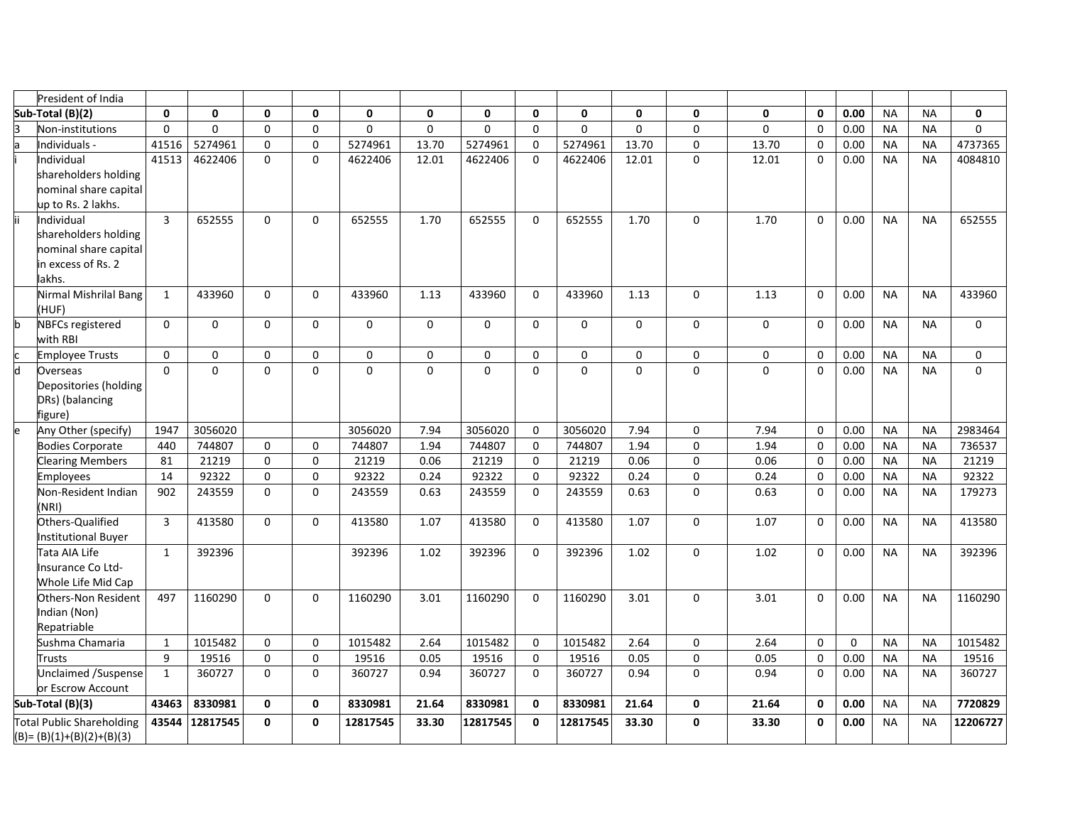|   | President of India                  |                |          |              |              |              |              |          |          |              |              |              |             |              |      |           |           |              |
|---|-------------------------------------|----------------|----------|--------------|--------------|--------------|--------------|----------|----------|--------------|--------------|--------------|-------------|--------------|------|-----------|-----------|--------------|
|   | Sub-Total (B)(2)                    | 0              | 0        | $\mathbf{0}$ | $\mathbf{0}$ | $\mathbf{0}$ | $\mathbf{0}$ | 0        | 0        | $\mathbf{0}$ | $\mathbf{0}$ | $\mathbf{0}$ | $\mathbf 0$ | $\mathbf 0$  | 0.00 | <b>NA</b> | <b>NA</b> | $\mathbf{0}$ |
|   | Non-institutions                    | $\Omega$       | $\Omega$ | $\Omega$     | $\Omega$     | $\Omega$     | $\Omega$     | $\Omega$ | $\Omega$ | $\Omega$     | $\Omega$     | $\Omega$     | $\mathbf 0$ | $\Omega$     | 0.00 | <b>NA</b> | <b>NA</b> | $\Omega$     |
|   | ndividuals -                        | 41516          | 5274961  | $\Omega$     | $\Omega$     | 5274961      | 13.70        | 5274961  | $\Omega$ | 5274961      | 13.70        | $\mathbf 0$  | 13.70       | $\Omega$     | 0.00 | <b>NA</b> | <b>NA</b> | 4737365      |
|   | ndividual                           | 41513          | 4622406  | $\Omega$     | 0            | 4622406      | 12.01        | 4622406  | $\Omega$ | 4622406      | 12.01        | $\Omega$     | 12.01       | $\Omega$     | 0.00 | <b>NA</b> | <b>NA</b> | 4084810      |
|   | shareholders holding                |                |          |              |              |              |              |          |          |              |              |              |             |              |      |           |           |              |
|   | nominal share capital               |                |          |              |              |              |              |          |          |              |              |              |             |              |      |           |           |              |
|   | up to Rs. 2 lakhs.                  |                |          |              |              |              |              |          |          |              |              |              |             |              |      |           |           |              |
|   | Individual                          | $\overline{3}$ | 652555   | $\Omega$     | $\Omega$     | 652555       | 1.70         | 652555   | $\Omega$ | 652555       | 1.70         | $\Omega$     | 1.70        | $\Omega$     | 0.00 | <b>NA</b> | <b>NA</b> | 652555       |
|   | shareholders holding                |                |          |              |              |              |              |          |          |              |              |              |             |              |      |           |           |              |
|   | nominal share capital               |                |          |              |              |              |              |          |          |              |              |              |             |              |      |           |           |              |
|   | in excess of Rs. 2<br>lakhs.        |                |          |              |              |              |              |          |          |              |              |              |             |              |      |           |           |              |
|   | Nirmal Mishrilal Bang               | $\mathbf{1}$   | 433960   | $\Omega$     | $\Omega$     | 433960       | 1.13         | 433960   | $\Omega$ | 433960       | 1.13         | $\Omega$     | 1.13        | $\Omega$     | 0.00 | <b>NA</b> | <b>NA</b> | 433960       |
|   | (HUF)                               |                |          |              |              |              |              |          |          |              |              |              |             |              |      |           |           |              |
|   | <b>NBFCs registered</b><br>with RBI | $\Omega$       | 0        | $\mathbf 0$  | $\Omega$     | $\Omega$     | $\Omega$     | $\Omega$ | $\Omega$ | $\Omega$     | 0            | $\Omega$     | 0           | $\Omega$     | 0.00 | <b>NA</b> | <b>NA</b> | $\mathbf 0$  |
|   | <b>Employee Trusts</b>              | $\Omega$       | $\Omega$ | $\Omega$     | $\Omega$     | $\Omega$     | $\Omega$     | $\Omega$ | $\Omega$ | $\Omega$     | $\Omega$     | $\Omega$     | $\Omega$    | $\Omega$     | 0.00 | <b>NA</b> | <b>NA</b> | $\Omega$     |
| d | Overseas                            | $\Omega$       | $\Omega$ | $\Omega$     | $\Omega$     | $\Omega$     | $\Omega$     | $\Omega$ | $\Omega$ | $\Omega$     | $\Omega$     | $\Omega$     | $\mathbf 0$ | $\Omega$     | 0.00 | <b>NA</b> | <b>NA</b> | $\Omega$     |
|   | Depositories (holding               |                |          |              |              |              |              |          |          |              |              |              |             |              |      |           |           |              |
|   | DRs) (balancing                     |                |          |              |              |              |              |          |          |              |              |              |             |              |      |           |           |              |
|   | figure)                             |                |          |              |              |              |              |          |          |              |              |              |             |              |      |           |           |              |
|   | Any Other (specify)                 | 1947           | 3056020  |              |              | 3056020      | 7.94         | 3056020  | 0        | 3056020      | 7.94         | $\mathbf 0$  | 7.94        | $\mathbf 0$  | 0.00 | <b>NA</b> | <b>NA</b> | 2983464      |
|   | <b>Bodies Corporate</b>             | 440            | 744807   | $\Omega$     | $\Omega$     | 744807       | 1.94         | 744807   | $\Omega$ | 744807       | 1.94         | $\Omega$     | 1.94        | $\Omega$     | 0.00 | <b>NA</b> | <b>NA</b> | 736537       |
|   | <b>Clearing Members</b>             | 81             | 21219    | $\mathbf 0$  | 0            | 21219        | 0.06         | 21219    | $\Omega$ | 21219        | 0.06         | $\mathbf 0$  | 0.06        | $\mathbf 0$  | 0.00 | <b>NA</b> | <b>NA</b> | 21219        |
|   | Employees                           | 14             | 92322    | $\Omega$     | 0            | 92322        | 0.24         | 92322    | $\Omega$ | 92322        | 0.24         | $\mathbf 0$  | 0.24        | $\mathbf 0$  | 0.00 | <b>NA</b> | <b>NA</b> | 92322        |
|   | Non-Resident Indian<br>(NRI)        | 902            | 243559   | $\Omega$     | $\Omega$     | 243559       | 0.63         | 243559   | $\Omega$ | 243559       | 0.63         | $\Omega$     | 0.63        | $\mathbf 0$  | 0.00 | <b>NA</b> | <b>NA</b> | 179273       |
|   | Others-Qualified                    | 3              | 413580   | $\mathbf 0$  | $\Omega$     | 413580       | 1.07         | 413580   | $\Omega$ | 413580       | 1.07         | $\mathbf 0$  | 1.07        | $\Omega$     | 0.00 | <b>NA</b> | <b>NA</b> | 413580       |
|   | <b>Institutional Buyer</b>          |                |          |              |              |              |              |          |          |              |              |              |             |              |      |           |           |              |
|   | Tata AIA Life                       | 1              | 392396   |              |              | 392396       | 1.02         | 392396   | 0        | 392396       | 1.02         | $\mathbf 0$  | 1.02        | $\Omega$     | 0.00 | <b>NA</b> | <b>NA</b> | 392396       |
|   | <b>Insurance Co Ltd-</b>            |                |          |              |              |              |              |          |          |              |              |              |             |              |      |           |           |              |
|   | <b>Whole Life Mid Cap</b>           |                |          |              |              |              |              |          |          |              |              |              |             |              |      |           |           |              |
|   | Others-Non Resident                 | 497            | 1160290  | $\Omega$     | 0            | 1160290      | 3.01         | 1160290  | $\Omega$ | 1160290      | 3.01         | $\Omega$     | 3.01        | $\Omega$     | 0.00 | <b>NA</b> | <b>NA</b> | 1160290      |
|   | Indian (Non)<br>Repatriable         |                |          |              |              |              |              |          |          |              |              |              |             |              |      |           |           |              |
|   | Sushma Chamaria                     | $\mathbf{1}$   | 1015482  | $\Omega$     | $\Omega$     | 1015482      | 2.64         | 1015482  | $\Omega$ | 1015482      | 2.64         | 0            | 2.64        | $\mathbf 0$  | 0    | <b>NA</b> | <b>NA</b> | 1015482      |
|   | <b>Trusts</b>                       | 9              | 19516    | $\mathbf 0$  | $\mathbf 0$  | 19516        | 0.05         | 19516    | 0        | 19516        | 0.05         | $\mathbf 0$  | 0.05        | $\Omega$     | 0.00 | <b>NA</b> | <b>NA</b> | 19516        |
|   | Unclaimed /Suspense                 | $\mathbf{1}$   | 360727   | $\Omega$     | $\Omega$     | 360727       | 0.94         | 360727   | 0        | 360727       | 0.94         | $\Omega$     | 0.94        | $\Omega$     | 0.00 | <b>NA</b> | <b>NA</b> | 360727       |
|   | or Escrow Account                   |                |          |              |              |              |              |          |          |              |              |              |             |              |      |           |           |              |
|   | Sub-Total (B)(3)                    | 43463          | 8330981  | $\mathbf{0}$ | 0            | 8330981      | 21.64        | 8330981  | 0        | 8330981      | 21.64        | 0            | 21.64       | $\mathbf{0}$ | 0.00 | <b>NA</b> | <b>NA</b> | 7720829      |
|   | <b>Total Public Shareholding</b>    | 43544          | 12817545 | $\Omega$     | 0            | 12817545     | 33.30        | 12817545 | 0        | 12817545     | 33.30        | $\mathbf{0}$ | 33.30       | 0            | 0.00 | <b>NA</b> | <b>NA</b> | 12206727     |
|   | $(B)=(B)(1)+(B)(2)+(B)(3)$          |                |          |              |              |              |              |          |          |              |              |              |             |              |      |           |           |              |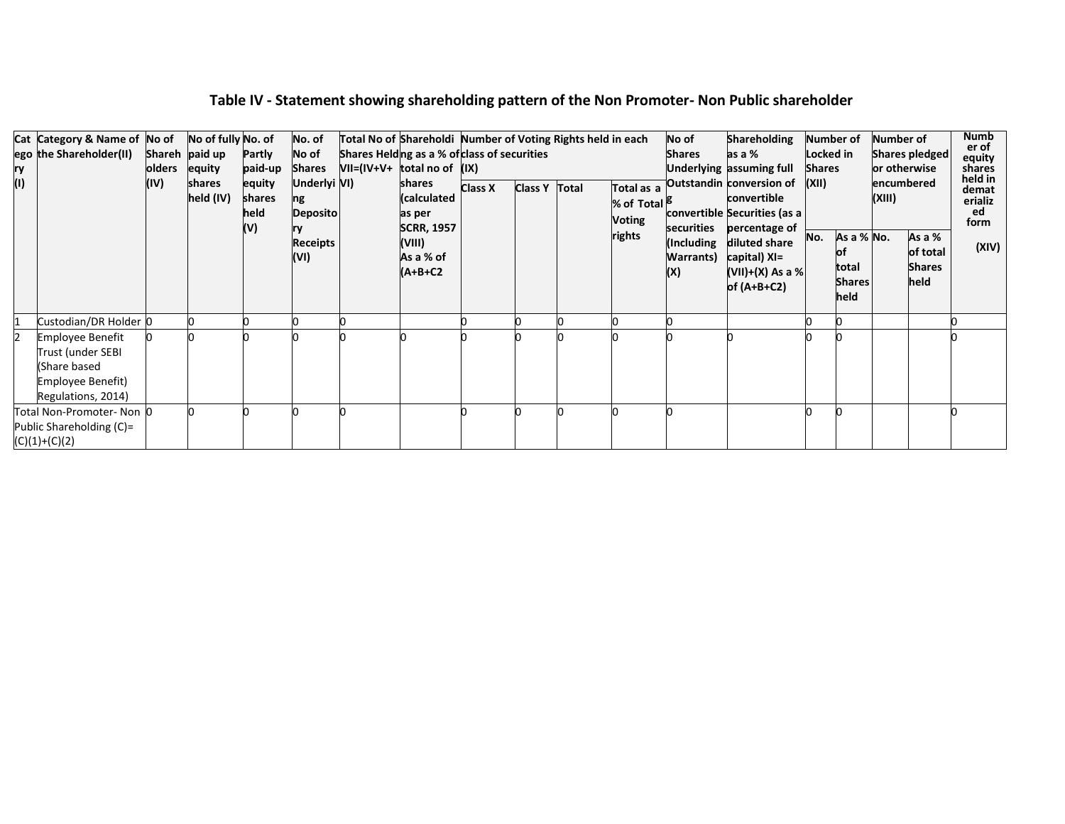| ry<br>$\mathbf{r}$ | Cat Category & Name of No of<br>ego the Shareholder(II)                                                 | olders<br>(IV) | No of fully No. of<br>Shareh paid up<br>equity<br>shares<br>held (IV) | Partly<br>paid-up<br>equity<br>shares<br>held<br>(V) | No. of<br>No of<br>Shares<br>Underlyi VI)<br>ng<br><b>Deposito</b><br><b>Receipts</b><br>(VI) | Total No of Shareholdi Number of Voting Rights held in each<br>Shares Helding as a % of class of securities<br>$VII=(IV+V+$ total no of $(IX)$<br>shares<br>(calculated<br>as per<br><b>SCRR, 1957</b><br>(VIII)<br>As a % of<br>(A+B+C2 | <b>Class X</b> | Class Y Total | Total as a<br>% of Total <sup>16</sup><br>Voting<br>rights | No of<br><b>Shares</b><br><b>Warrants</b> )<br>(X) | <b>Shareholding</b><br>as a %<br>Underlying assuming full<br>Outstandin conversion of<br>convertible<br>convertible Securities (as a<br>securities percentage of<br>Including diluted share<br>capital) XI=<br>$(VII)+(X)$ As a %<br>of $(A+B+C2)$ | Number of<br>Locked in<br><b>Shares</b><br>(XII)<br>No. | As a % No.<br>total<br><b>Shares</b><br>held | Number of<br>or otherwise<br>encumbered<br>(XIII) | Shares pledged<br>As a %<br>of total<br><b>Shares</b><br>held | Numb<br>er of<br>equity<br>shares<br>held in<br>demat<br>erializ<br>ed<br>form<br>(XIV) |
|--------------------|---------------------------------------------------------------------------------------------------------|----------------|-----------------------------------------------------------------------|------------------------------------------------------|-----------------------------------------------------------------------------------------------|------------------------------------------------------------------------------------------------------------------------------------------------------------------------------------------------------------------------------------------|----------------|---------------|------------------------------------------------------------|----------------------------------------------------|----------------------------------------------------------------------------------------------------------------------------------------------------------------------------------------------------------------------------------------------------|---------------------------------------------------------|----------------------------------------------|---------------------------------------------------|---------------------------------------------------------------|-----------------------------------------------------------------------------------------|
|                    | Custodian/DR Holder 0                                                                                   |                |                                                                       |                                                      |                                                                                               |                                                                                                                                                                                                                                          |                |               |                                                            |                                                    |                                                                                                                                                                                                                                                    |                                                         |                                              |                                                   |                                                               |                                                                                         |
|                    | <b>Employee Benefit</b><br>Trust (under SEBI<br>(Share based<br>Employee Benefit)<br>Regulations, 2014) |                |                                                                       |                                                      |                                                                                               |                                                                                                                                                                                                                                          |                |               |                                                            |                                                    |                                                                                                                                                                                                                                                    |                                                         |                                              |                                                   |                                                               |                                                                                         |
|                    | Total Non-Promoter- Non 0<br>Public Shareholding (C)=<br>$(C)(1)+(C)(2)$                                |                |                                                                       |                                                      |                                                                                               |                                                                                                                                                                                                                                          |                |               |                                                            |                                                    |                                                                                                                                                                                                                                                    |                                                         |                                              |                                                   |                                                               |                                                                                         |

# **Table IV - Statement showing shareholding pattern of the Non Promoter- Non Public shareholder**